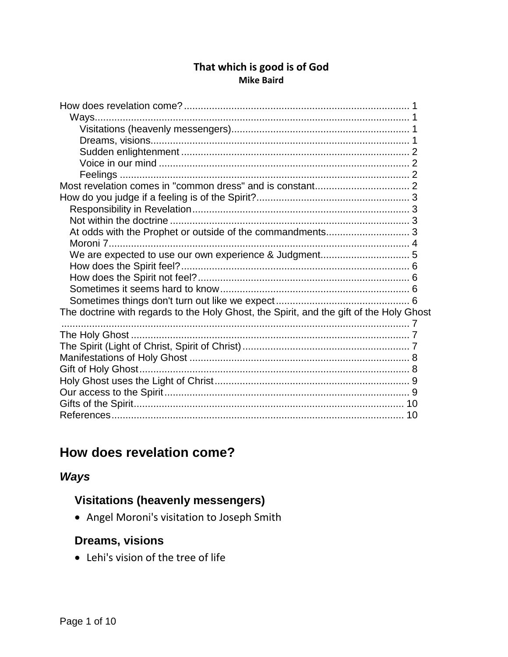#### That which is good is of God **Mike Baird**

| The doctrine with regards to the Holy Ghost, the Spirit, and the gift of the Holy Ghost |
|-----------------------------------------------------------------------------------------|
|                                                                                         |
|                                                                                         |
|                                                                                         |
|                                                                                         |
|                                                                                         |
|                                                                                         |
|                                                                                         |
|                                                                                         |
|                                                                                         |

# <span id="page-0-0"></span>How does revelation come?

## <span id="page-0-1"></span>**Ways**

## <span id="page-0-2"></span>**Visitations (heavenly messengers)**

• Angel Moroni's visitation to Joseph Smith

## <span id="page-0-3"></span>**Dreams, visions**

• Lehi's vision of the tree of life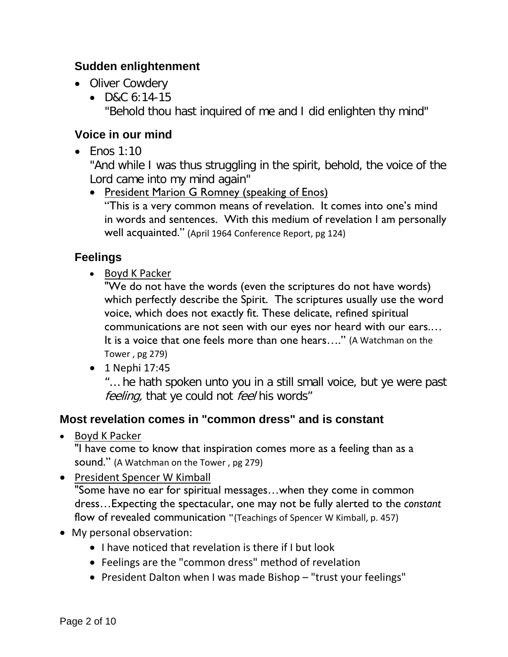### <span id="page-1-0"></span>**Sudden enlightenment**

- Oliver Cowdery
	- D&C 6:14-15 "Behold thou hast inquired of me and I did enlighten thy mind"

### <span id="page-1-1"></span>**Voice in our mind**

• Fnos  $1:10$ 

"And while I was thus struggling in the spirit, behold, the voice of the Lord came into my mind again"

• President Marion G Romney (speaking of Enos) "This is a very common means of revelation. It comes into one's mind in words and sentences. With this medium of revelation I am personally well acquainted." (April 1964 Conference Report, pg 124)

### <span id="page-1-2"></span>**Feelings**

• Boyd K Packer

"We do not have the words (even the scriptures do not have words) which perfectly describe the Spirit. The scriptures usually use the word voice, which does not exactly fit. These delicate, refined spiritual communications are not seen with our eyes nor heard with our ears.… It is a voice that one feels more than one hears…." (A Watchman on the Tower , pg 279)

• 1 Nephi 17:45

"… he hath spoken unto you in a still small voice, but ye were past feeling, that ye could not feel his words"

### <span id="page-1-3"></span>**Most revelation comes in "common dress" and is constant**

• Boyd K Packer

"I have come to know that inspiration comes more as a feeling than as a sound." (A Watchman on the Tower , pg 279)

• President Spencer W Kimball

"Some have no ear for spiritual messages…when they come in common dress…Expecting the spectacular, one may not be fully alerted to the *constant* flow of revealed communication **"**(Teachings of Spencer W Kimball, p. 457)

- My personal observation:
	- I have noticed that revelation is there if I but look
	- Feelings are the "common dress" method of revelation
	- President Dalton when I was made Bishop "trust your feelings"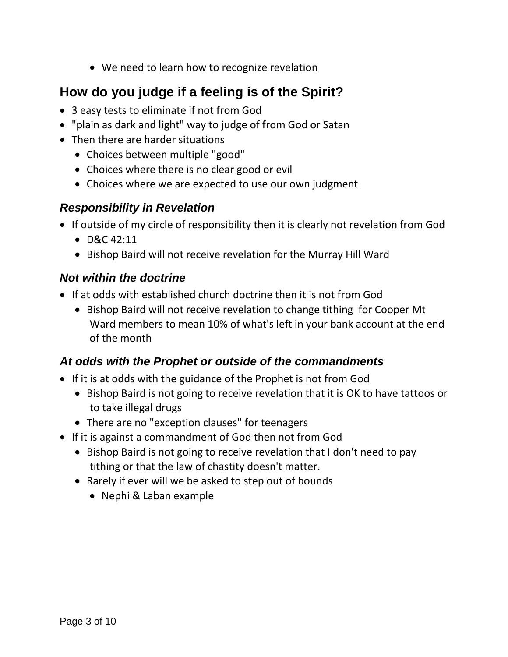• We need to learn how to recognize revelation

## <span id="page-2-0"></span>**How do you judge if a feeling is of the Spirit?**

- 3 easy tests to eliminate if not from God
- "plain as dark and light" way to judge of from God or Satan
- Then there are harder situations
	- Choices between multiple "good"
	- Choices where there is no clear good or evil
	- Choices where we are expected to use our own judgment

### <span id="page-2-1"></span>*Responsibility in Revelation*

- If outside of my circle of responsibility then it is clearly not revelation from God
	- D&C 42:11
	- Bishop Baird will not receive revelation for the Murray Hill Ward

### <span id="page-2-2"></span>*Not within the doctrine*

- If at odds with established church doctrine then it is not from God
	- Bishop Baird will not receive revelation to change tithing for Cooper Mt Ward members to mean 10% of what's left in your bank account at the end of the month

### <span id="page-2-3"></span>*At odds with the Prophet or outside of the commandments*

- If it is at odds with the guidance of the Prophet is not from God
	- Bishop Baird is not going to receive revelation that it is OK to have tattoos or to take illegal drugs
	- There are no "exception clauses" for teenagers
- If it is against a commandment of God then not from God
	- Bishop Baird is not going to receive revelation that I don't need to pay tithing or that the law of chastity doesn't matter.
	- Rarely if ever will we be asked to step out of bounds
		- Nephi & Laban example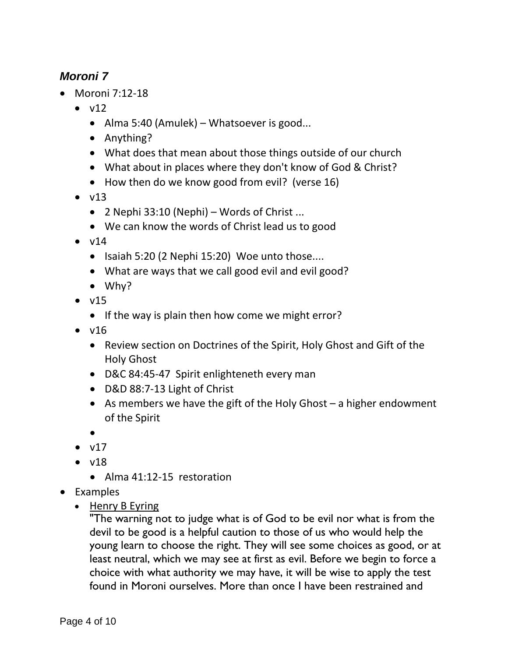### <span id="page-3-0"></span>*Moroni 7*

- Moroni 7:12-18
	- $\bullet$  v12
		- Alma 5:40 (Amulek) Whatsoever is good...
		- Anything?
		- What does that mean about those things outside of our church
		- What about in places where they don't know of God & Christ?
		- How then do we know good from evil? (verse 16)
	- $\bullet$  v13
		- 2 Nephi 33:10 (Nephi) Words of Christ ...
		- We can know the words of Christ lead us to good
	- $\bullet$  v14
		- Isaiah 5:20 (2 Nephi 15:20) Woe unto those....
		- What are ways that we call good evil and evil good?
		- Why?
	- $\bullet$  v15
		- If the way is plain then how come we might error?
	- $\bullet$  v16
		- Review section on Doctrines of the Spirit, Holy Ghost and Gift of the Holy Ghost
		- D&C 84:45-47 Spirit enlighteneth every man
		- D&D 88:7-13 Light of Christ
		- As members we have the gift of the Holy Ghost a higher endowment of the Spirit
		- •
	- $\bullet$  v17
	- $\bullet$  v18
		- Alma 41:12-15 restoration
- Examples
	- Henry B Eyring

"The warning not to judge what is of God to be evil nor what is from the devil to be good is a helpful caution to those of us who would help the young learn to choose the right. They will see some choices as good, or at least neutral, which we may see at first as evil. Before we begin to force a choice with what authority we may have, it will be wise to apply the test found in Moroni ourselves. More than once I have been restrained and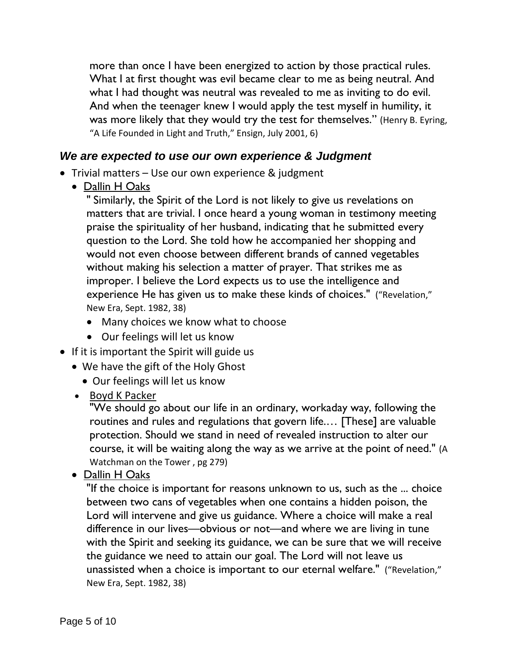more than once I have been energized to action by those practical rules. What I at first thought was evil became clear to me as being neutral. And what I had thought was neutral was revealed to me as inviting to do evil. And when the teenager knew I would apply the test myself in humility, it was more likely that they would try the test for themselves." (Henry B. Eyring, "A Life Founded in Light and Truth," Ensign, July 2001, 6)

#### <span id="page-4-0"></span>*We are expected to use our own experience & Judgment*

- Trivial matters Use our own experience & judgment
	- Dallin H Oaks

" Similarly, the Spirit of the Lord is not likely to give us revelations on matters that are trivial. I once heard a young woman in testimony meeting praise the spirituality of her husband, indicating that he submitted every question to the Lord. She told how he accompanied her shopping and would not even choose between different brands of canned vegetables without making his selection a matter of prayer. That strikes me as improper. I believe the Lord expects us to use the intelligence and experience He has given us to make these kinds of choices." ("Revelation," New Era, Sept. 1982, 38)

- Many choices we know what to choose
- Our feelings will let us know
- If it is important the Spirit will guide us
	- We have the gift of the Holy Ghost
		- Our feelings will let us know
	- Boyd K Packer

"We should go about our life in an ordinary, workaday way, following the routines and rules and regulations that govern life.… [These] are valuable protection. Should we stand in need of revealed instruction to alter our course, it will be waiting along the way as we arrive at the point of need." (A Watchman on the Tower , pg 279)

• Dallin H Oaks

"If the choice is important for reasons unknown to us, such as the ... choice between two cans of vegetables when one contains a hidden poison, the Lord will intervene and give us guidance. Where a choice will make a real difference in our lives—obvious or not—and where we are living in tune with the Spirit and seeking its guidance, we can be sure that we will receive the guidance we need to attain our goal. The Lord will not leave us unassisted when a choice is important to our eternal welfare." ("Revelation," New Era, Sept. 1982, 38)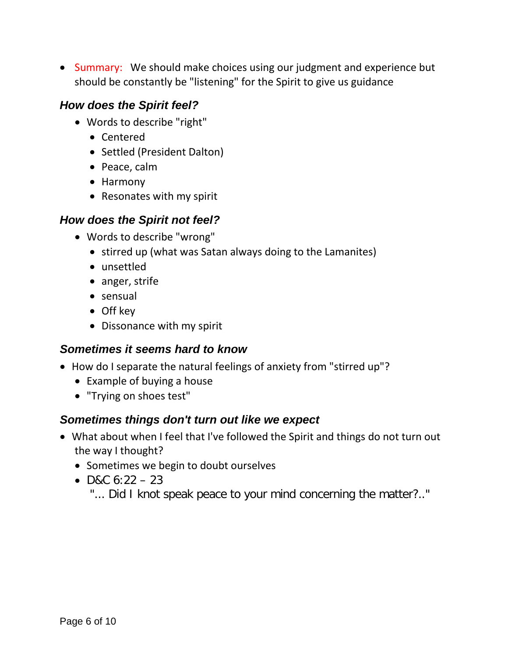• Summary: We should make choices using our judgment and experience but should be constantly be "listening" for the Spirit to give us guidance

#### <span id="page-5-0"></span>*How does the Spirit feel?*

- Words to describe "right"
	- Centered
	- Settled (President Dalton)
	- Peace, calm
	- Harmony
	- Resonates with my spirit

#### <span id="page-5-1"></span>*How does the Spirit not feel?*

- Words to describe "wrong"
	- stirred up (what was Satan always doing to the Lamanites)
	- unsettled
	- anger, strife
	- sensual
	- Off key
	- Dissonance with my spirit

#### <span id="page-5-2"></span>*Sometimes it seems hard to know*

- How do I separate the natural feelings of anxiety from "stirred up"?
	- Example of buying a house
	- "Trying on shoes test"

#### <span id="page-5-3"></span>*Sometimes things don't turn out like we expect*

- What about when I feel that I've followed the Spirit and things do not turn out the way I thought?
	- Sometimes we begin to doubt ourselves
	- D&C  $6:22 23$ 
		- "... Did I knot speak peace to your mind concerning the matter?.."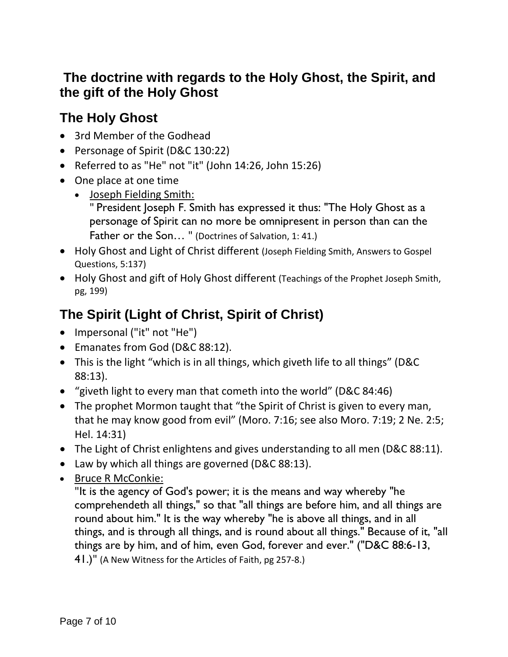## <span id="page-6-0"></span>**The doctrine with regards to the Holy Ghost, the Spirit, and the gift of the Holy Ghost**

## <span id="page-6-1"></span>**The Holy Ghost**

- 3rd Member of the Godhead
- Personage of Spirit (D&C 130:22)
- Referred to as "He" not "it" (John 14:26, John 15:26)
- One place at one time
	- Joseph Fielding Smith:

" President Joseph F. Smith has expressed it thus: "The Holy Ghost as a personage of Spirit can no more be omnipresent in person than can the Father or the Son... " (Doctrines of Salvation, 1: 41.)

- Holy Ghost and Light of Christ different (Joseph Fielding Smith, Answers to Gospel Questions, 5:137)
- Holy Ghost and gift of Holy Ghost different (Teachings of the Prophet Joseph Smith, pg, 199)

# <span id="page-6-2"></span>**The Spirit (Light of Christ, Spirit of Christ)**

- Impersonal ("it" not "He")
- Emanates from God (D&C 88:12).
- This is the light "which is in all things, which giveth life to all things" (D&C 88:13).
- "giveth light to every man that cometh into the world" (D&C 84:46)
- The prophet Mormon taught that "the Spirit of Christ is given to every man, that he may know good from evil" (Moro. 7:16; see also Moro. 7:19; 2 Ne. 2:5; Hel. 14:31)
- The Light of Christ enlightens and gives understanding to all men (D&C 88:11).
- Law by which all things are governed (D&C 88:13).
- Bruce R McConkie:

"It is the agency of God's power; it is the means and way whereby "he comprehendeth all things," so that "all things are before him, and all things are round about him." It is the way whereby "he is above all things, and in all things, and is through all things, and is round about all things." Because of it, "all things are by him, and of him, even God, forever and ever." ("D&C 88:6-13, 41.)" (A New Witness for the Articles of Faith, pg 257-8.)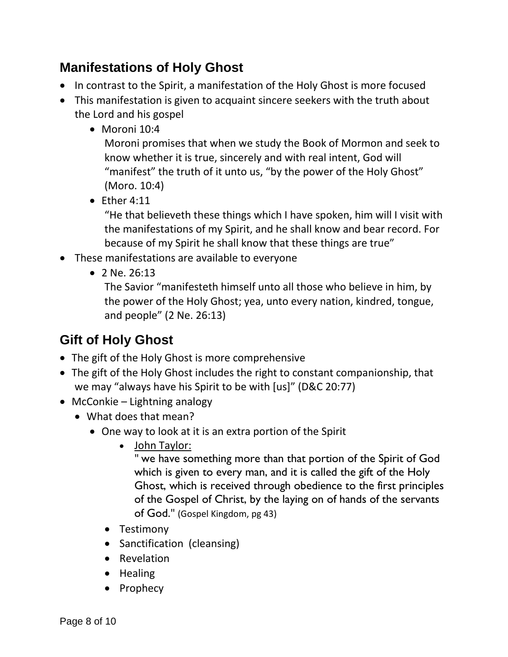## <span id="page-7-0"></span>**Manifestations of Holy Ghost**

- In contrast to the Spirit, a manifestation of the Holy Ghost is more focused
- This manifestation is given to acquaint sincere seekers with the truth about the Lord and his gospel
	- Moroni 10:4

Moroni promises that when we study the Book of Mormon and seek to know whether it is true, sincerely and with real intent, God will "manifest" the truth of it unto us, "by the power of the Holy Ghost" (Moro. 10:4)

 $\bullet$  Ether 4:11

"He that believeth these things which I have spoken, him will I visit with the manifestations of my Spirit, and he shall know and bear record. For because of my Spirit he shall know that these things are true"

- These manifestations are available to everyone
	- 2 Ne. 26:13

The Savior "manifesteth himself unto all those who believe in him, by the power of the Holy Ghost; yea, unto every nation, kindred, tongue, and people" (2 Ne. 26:13)

# <span id="page-7-1"></span>**Gift of Holy Ghost**

- The gift of the Holy Ghost is more comprehensive
- The gift of the Holy Ghost includes the right to constant companionship, that we may "always have his Spirit to be with [us]" (D&C 20:77)
- McConkie Lightning analogy
	- What does that mean?
		- One way to look at it is an extra portion of the Spirit
			- John Taylor:

" we have something more than that portion of the Spirit of God which is given to every man, and it is called the gift of the Holy Ghost, which is received through obedience to the first principles of the Gospel of Christ, by the laying on of hands of the servants of God." (Gospel Kingdom, pg 43)

- Testimony
- Sanctification (cleansing)
- Revelation
- Healing
- Prophecy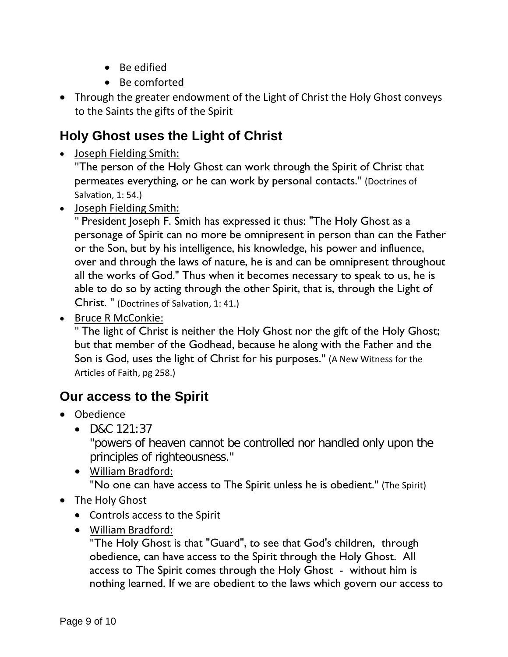- Be edified
- Be comforted
- Through the greater endowment of the Light of Christ the Holy Ghost conveys to the Saints the gifts of the Spirit

# <span id="page-8-0"></span>**Holy Ghost uses the Light of Christ**

• Joseph Fielding Smith:

"The person of the Holy Ghost can work through the Spirit of Christ that permeates everything, or he can work by personal contacts." (Doctrines of Salvation, 1: 54.)

• Joseph Fielding Smith:

" President Joseph F. Smith has expressed it thus: "The Holy Ghost as a personage of Spirit can no more be omnipresent in person than can the Father or the Son, but by his intelligence, his knowledge, his power and influence, over and through the laws of nature, he is and can be omnipresent throughout all the works of God." Thus when it becomes necessary to speak to us, he is able to do so by acting through the other Spirit, that is, through the Light of Christ. " (Doctrines of Salvation, 1: 41.)

• Bruce R McConkie:

" The light of Christ is neither the Holy Ghost nor the gift of the Holy Ghost; but that member of the Godhead, because he along with the Father and the Son is God, uses the light of Christ for his purposes." (A New Witness for the Articles of Faith, pg 258.)

## <span id="page-8-1"></span>**Our access to the Spirit**

- Obedience
	- D&C 121:37

"powers of heaven cannot be controlled nor handled only upon the principles of righteousness."

• William Bradford:

"No one can have access to The Spirit unless he is obedient." (The Spirit)

- The Holy Ghost
	- Controls access to the Spirit
	- William Bradford:

"The Holy Ghost is that "Guard", to see that God's children, through obedience, can have access to the Spirit through the Holy Ghost. All access to The Spirit comes through the Holy Ghost - without him is nothing learned. If we are obedient to the laws which govern our access to